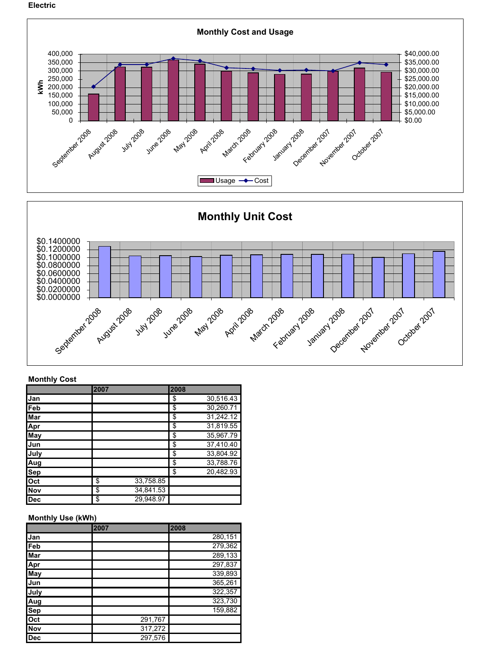Electric



## Monthly Cost

|            | 2007 |           | 2008 |                        |
|------------|------|-----------|------|------------------------|
| Jan        |      |           | \$   | 30,516.43              |
| Feb        |      |           | \$   | 30,260.71              |
| Mar        |      |           | \$   | 31,242.12              |
| Apr        |      |           | \$   | 31,819.55              |
| May        |      |           | \$   | 35,967.79              |
| Jun        |      |           | \$   | $37,410.\overline{40}$ |
| July       |      |           | \$   | 33,804.92              |
| Aug        |      |           | \$   | 33,788.76              |
| Sep        |      |           | \$   | 20,482.93              |
| Oct        | \$   | 33,758.85 |      |                        |
| <b>Nov</b> | \$   | 34,841.53 |      |                        |
| Dec        | \$   | 29,948.97 |      |                        |

## Monthly Use (kWh)

|            | 2007 |         | 2008    |
|------------|------|---------|---------|
| Jan        |      |         | 280,151 |
| Feb        |      |         | 279,362 |
| <b>Mar</b> |      |         | 289,133 |
| Apr        |      |         | 297,837 |
| <b>May</b> |      |         | 339,893 |
| Jun        |      |         | 365,261 |
| July       |      |         | 322,357 |
| Aug        |      |         | 323,730 |
| <b>Sep</b> |      |         | 159,882 |
| Oct        |      | 291,767 |         |
| <b>Nov</b> |      | 317,272 |         |
| <b>Dec</b> |      | 297,576 |         |